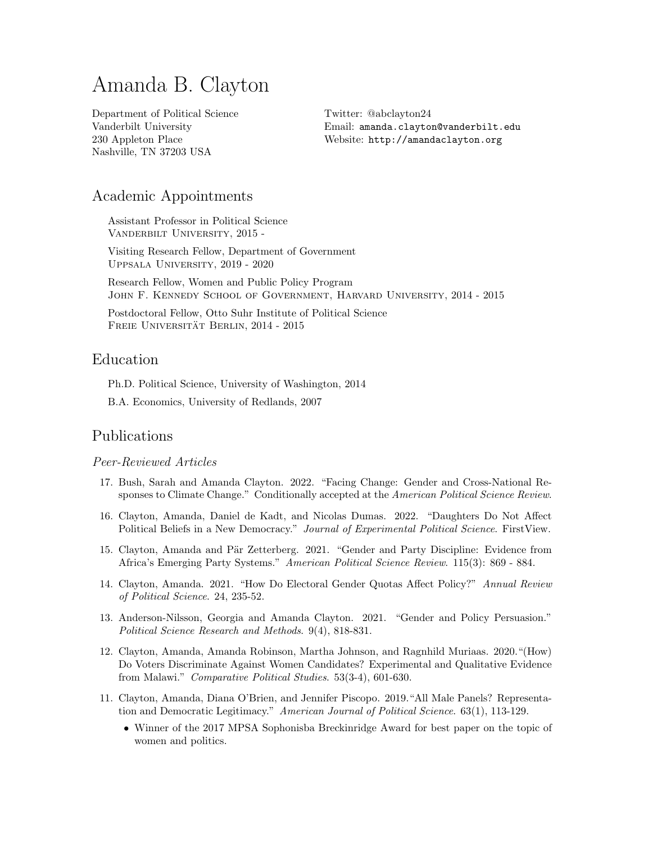# Amanda B. Clayton

Department of Political Science Vanderbilt University 230 Appleton Place Nashville, TN 37203 USA

Twitter: @abclayton24 Email: [amanda.clayton@vanderbilt.edu](mailto:amanda.clayton@vanderbilt.edu) Website: [http://amandaclayton.org](http://amandaclayton.org/)

# Academic Appointments

Assistant Professor in Political Science Vanderbilt University, 2015 -

Visiting Research Fellow, Department of Government Uppsala University, 2019 - 2020

Research Fellow, Women and Public Policy Program John F. Kennedy School of Government, Harvard University, 2014 - 2015

Postdoctoral Fellow, Otto Suhr Institute of Political Science FREIE UNIVERSITÄT BERLIN, 2014 - 2015

# Education

Ph.D. Political Science, University of Washington, 2014

B.A. Economics, University of Redlands, 2007

# Publications

# Peer-Reviewed Articles

- 17. Bush, Sarah and Amanda Clayton. 2022. "Facing Change: Gender and Cross-National Responses to Climate Change." Conditionally accepted at the American Political Science Review.
- 16. Clayton, Amanda, Daniel de Kadt, and Nicolas Dumas. 2022. "Daughters Do Not Affect Political Beliefs in a New Democracy." Journal of Experimental Political Science. FirstView.
- 15. Clayton, Amanda and Pär Zetterberg. 2021. "Gender and Party Discipline: Evidence from Africa's Emerging Party Systems." American Political Science Review. 115(3): 869 - 884.
- 14. Clayton, Amanda. 2021. "How Do Electoral Gender Quotas Affect Policy?" Annual Review of Political Science. 24, 235-52.
- 13. Anderson-Nilsson, Georgia and Amanda Clayton. 2021. "Gender and Policy Persuasion." Political Science Research and Methods. 9(4), 818-831.
- 12. Clayton, Amanda, Amanda Robinson, Martha Johnson, and Ragnhild Muriaas. 2020."(How) Do Voters Discriminate Against Women Candidates? Experimental and Qualitative Evidence from Malawi." Comparative Political Studies. 53(3-4), 601-630.
- 11. Clayton, Amanda, Diana O'Brien, and Jennifer Piscopo. 2019."All Male Panels? Representation and Democratic Legitimacy." American Journal of Political Science. 63(1), 113-129.
	- Winner of the 2017 MPSA Sophonisba Breckinridge Award for best paper on the topic of women and politics.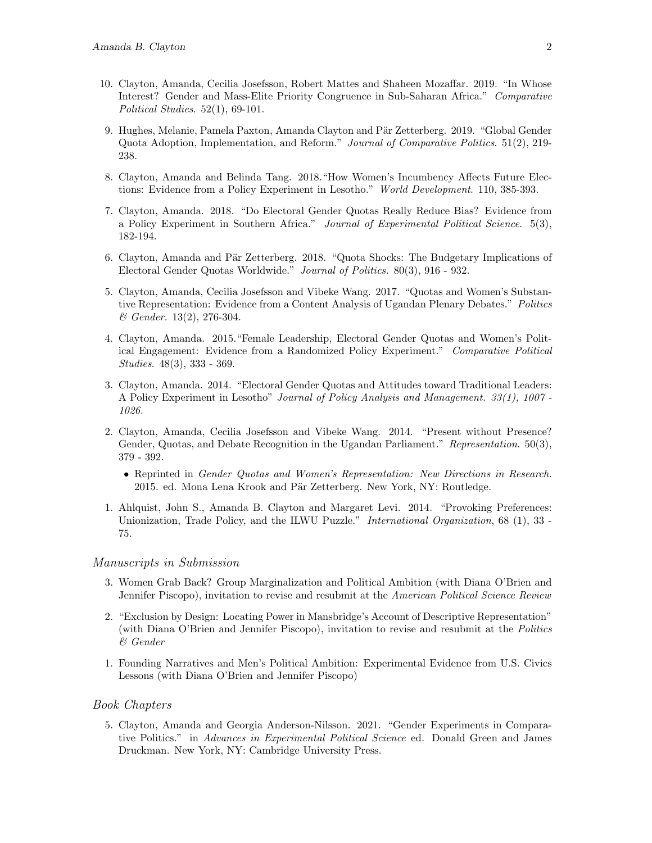- 10. Clayton, Amanda, Cecilia Josefsson, Robert Mattes and Shaheen Mozaffar. 2019. "In Whose Interest? Gender and Mass-Elite Priority Congruence in Sub-Saharan Africa." Comparative Political Studies.  $52(1)$ , 69-101.
- 9. Hughes, Melanie, Pamela Paxton, Amanda Clayton and Pär Zetterberg. 2019. "Global Gender Quota Adoption, Implementation, and Reform." Journal of Comparative Politics. 51(2), 219- 238.
- 8. Clayton, Amanda and Belinda Tang. 2018."How Women's Incumbency Affects Future Elections: Evidence from a Policy Experiment in Lesotho." World Development. 110, 385-393.
- 7. Clayton, Amanda. 2018. "Do Electoral Gender Quotas Really Reduce Bias? Evidence from a Policy Experiment in Southern Africa." Journal of Experimental Political Science. 5(3), 182-194.
- 6. Clayton, Amanda and Pär Zetterberg. 2018. "Quota Shocks: The Budgetary Implications of Electoral Gender Quotas Worldwide." Journal of Politics. 80(3), 916 - 932.
- 5. Clayton, Amanda, Cecilia Josefsson and Vibeke Wang. 2017. "Quotas and Women's Substantive Representation: Evidence from a Content Analysis of Ugandan Plenary Debates." Politics & Gender. 13(2), 276-304.
- 4. Clayton, Amanda. 2015."Female Leadership, Electoral Gender Quotas and Women's Political Engagement: Evidence from a Randomized Policy Experiment." Comparative Political Studies. 48(3), 333 - 369.
- 3. Clayton, Amanda. 2014. "Electoral Gender Quotas and Attitudes toward Traditional Leaders: A Policy Experiment in Lesotho" Journal of Policy Analysis and Management. 33(1), 1007 - 1026.
- 2. Clayton, Amanda, Cecilia Josefsson and Vibeke Wang. 2014. "Present without Presence? Gender, Quotas, and Debate Recognition in the Ugandan Parliament." Representation. 50(3), 379 - 392.
	- Reprinted in Gender Quotas and Women's Representation: New Directions in Research. 2015. ed. Mona Lena Krook and Pär Zetterberg. New York, NY: Routledge.
- 1. [Ahlquist, John S., Amanda B. Clayton and Margaret Levi. 2014. "Provoking Preferences:](http://journals.cambridge.org/action/displayAbstract?fromPage=online&aid=9157767&fulltextType=RA&fileId=S0020818313000374) [Unionization, Trade Policy, and the ILWU Puzzle."](http://journals.cambridge.org/action/displayAbstract?fromPage=online&aid=9157767&fulltextType=RA&fileId=S0020818313000374) International Organization, 68 (1), 33 -[75.](http://journals.cambridge.org/action/displayAbstract?fromPage=online&aid=9157767&fulltextType=RA&fileId=S0020818313000374)

## Manuscripts in Submission

- 3. Women Grab Back? Group Marginalization and Political Ambition (with Diana O'Brien and Jennifer Piscopo), invitation to revise and resubmit at the American Political Science Review
- 2. "Exclusion by Design: Locating Power in Mansbridge's Account of Descriptive Representation" (with Diana O'Brien and Jennifer Piscopo), invitation to revise and resubmit at the Politics & Gender
- 1. Founding Narratives and Men's Political Ambition: Experimental Evidence from U.S. Civics Lessons (with Diana O'Brien and Jennifer Piscopo)

## Book Chapters

5. Clayton, Amanda and Georgia Anderson-Nilsson. 2021. "Gender Experiments in Comparative Politics." in Advances in Experimental Political Science ed. Donald Green and James Druckman. New York, NY: Cambridge University Press.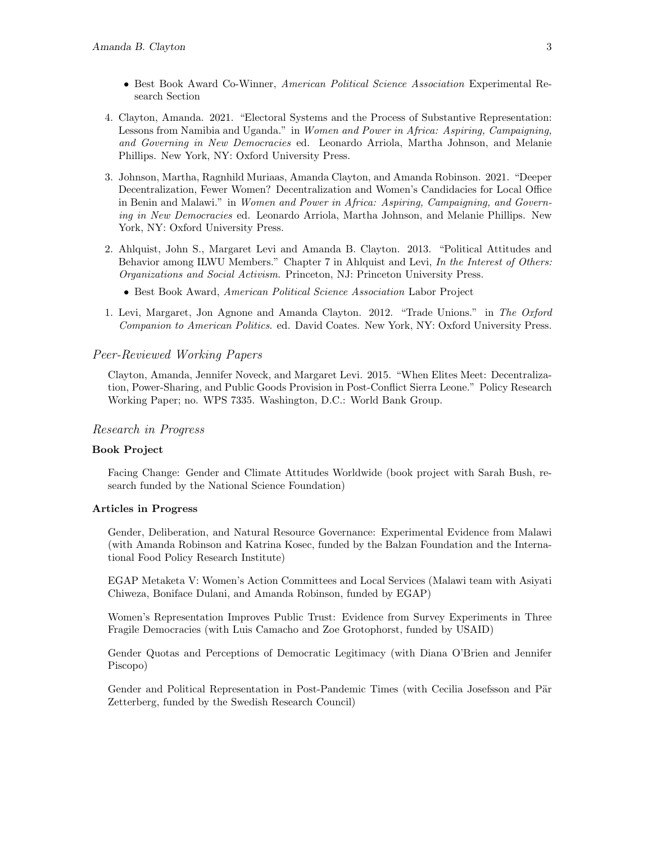- Best Book Award Co-Winner, American Political Science Association Experimental Research Section
- 4. Clayton, Amanda. 2021. "Electoral Systems and the Process of Substantive Representation: Lessons from Namibia and Uganda." in Women and Power in Africa: Aspiring, Campaigning, and Governing in New Democracies ed. Leonardo Arriola, Martha Johnson, and Melanie Phillips. New York, NY: Oxford University Press.
- 3. Johnson, Martha, Ragnhild Muriaas, Amanda Clayton, and Amanda Robinson. 2021. "Deeper Decentralization, Fewer Women? Decentralization and Women's Candidacies for Local Office in Benin and Malawi." in Women and Power in Africa: Aspiring, Campaigning, and Governing in New Democracies ed. Leonardo Arriola, Martha Johnson, and Melanie Phillips. New York, NY: Oxford University Press.
- 2. Ahlquist, John S., Margaret Levi and Amanda B. Clayton. 2013. "Political Attitudes and Behavior among ILWU Members." Chapter 7 in Ahlquist and Levi, In the Interest of Others: Organizations and Social Activism. Princeton, NJ: Princeton University Press.
	- Best Book Award, American Political Science Association Labor Project
- 1. Levi, Margaret, Jon Agnone and Amanda Clayton. 2012. "Trade Unions." in The Oxford Companion to American Politics. ed. David Coates. New York, NY: Oxford University Press.

## Peer-Reviewed Working Papers

Clayton, Amanda, Jennifer Noveck, and Margaret Levi. 2015. "When Elites Meet: Decentralization, Power-Sharing, and Public Goods Provision in Post-Conflict Sierra Leone." Policy Research Working Paper; no. WPS 7335. Washington, D.C.: World Bank Group.

#### Research in Progress

#### Book Project

Facing Change: Gender and Climate Attitudes Worldwide (book project with Sarah Bush, research funded by the National Science Foundation)

## Articles in Progress

Gender, Deliberation, and Natural Resource Governance: Experimental Evidence from Malawi (with Amanda Robinson and Katrina Kosec, funded by the Balzan Foundation and the International Food Policy Research Institute)

EGAP Metaketa V: Women's Action Committees and Local Services (Malawi team with Asiyati Chiweza, Boniface Dulani, and Amanda Robinson, funded by EGAP)

Women's Representation Improves Public Trust: Evidence from Survey Experiments in Three Fragile Democracies (with Luis Camacho and Zoe Grotophorst, funded by USAID)

Gender Quotas and Perceptions of Democratic Legitimacy (with Diana O'Brien and Jennifer Piscopo)

Gender and Political Representation in Post-Pandemic Times (with Cecilia Josefsson and Pär Zetterberg, funded by the Swedish Research Council)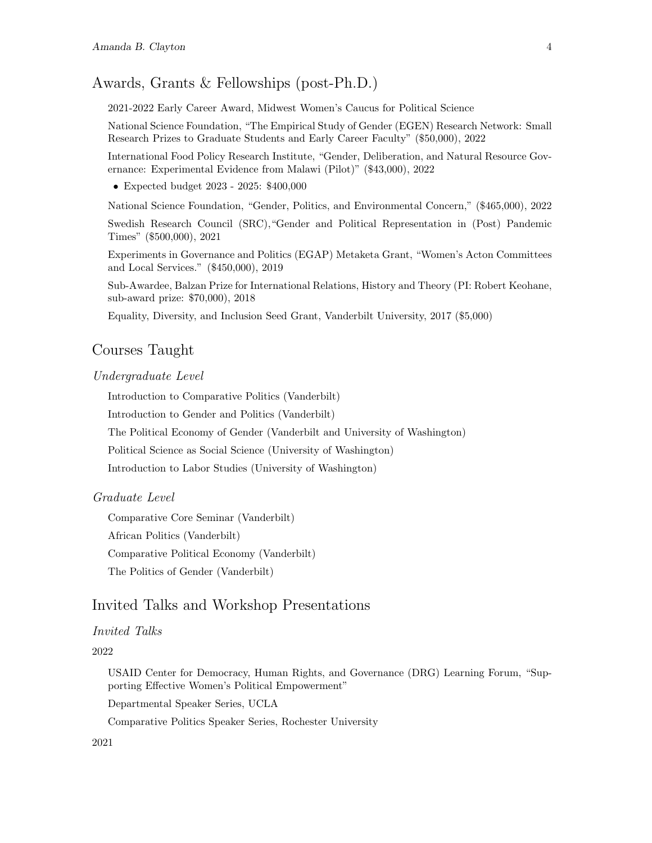# Awards, Grants & Fellowships (post-Ph.D.)

2021-2022 Early Career Award, Midwest Women's Caucus for Political Science

National Science Foundation, "The Empirical Study of Gender (EGEN) Research Network: Small Research Prizes to Graduate Students and Early Career Faculty" (\$50,000), 2022

International Food Policy Research Institute, "Gender, Deliberation, and Natural Resource Governance: Experimental Evidence from Malawi (Pilot)" (\$43,000), 2022

• Expected budget 2023 - 2025: \$400,000

National Science Foundation, "Gender, Politics, and Environmental Concern," (\$465,000), 2022

Swedish Research Council (SRC),"Gender and Political Representation in (Post) Pandemic Times" (\$500,000), 2021

Experiments in Governance and Politics (EGAP) Metaketa Grant, "Women's Acton Committees and Local Services." (\$450,000), 2019

Sub-Awardee, Balzan Prize for International Relations, History and Theory (PI: Robert Keohane, sub-award prize: \$70,000), 2018

Equality, Diversity, and Inclusion Seed Grant, Vanderbilt University, 2017 (\$5,000)

# Courses Taught

## Undergraduate Level

Introduction to Comparative Politics (Vanderbilt)

Introduction to Gender and Politics (Vanderbilt)

The Political Economy of Gender (Vanderbilt and University of Washington)

Political Science as Social Science (University of Washington)

Introduction to Labor Studies (University of Washington)

## Graduate Level

Comparative Core Seminar (Vanderbilt) African Politics (Vanderbilt) Comparative Political Economy (Vanderbilt) The Politics of Gender (Vanderbilt)

# Invited Talks and Workshop Presentations

## Invited Talks

#### 2022

USAID Center for Democracy, Human Rights, and Governance (DRG) Learning Forum, "Supporting Effective Women's Political Empowerment"

Departmental Speaker Series, UCLA

Comparative Politics Speaker Series, Rochester University

# 2021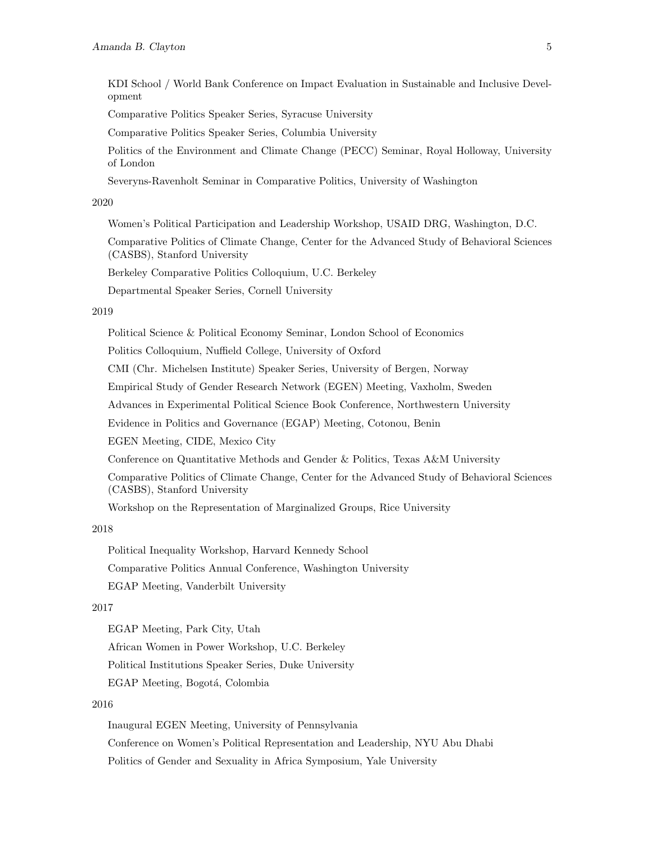KDI School / World Bank Conference on Impact Evaluation in Sustainable and Inclusive Development

Comparative Politics Speaker Series, Syracuse University

Comparative Politics Speaker Series, Columbia University

Politics of the Environment and Climate Change (PECC) Seminar, Royal Holloway, University of London

Severyns-Ravenholt Seminar in Comparative Politics, University of Washington

#### 2020

Women's Political Participation and Leadership Workshop, USAID DRG, Washington, D.C.

Comparative Politics of Climate Change, Center for the Advanced Study of Behavioral Sciences (CASBS), Stanford University

Berkeley Comparative Politics Colloquium, U.C. Berkeley

Departmental Speaker Series, Cornell University

#### 2019

Political Science & Political Economy Seminar, London School of Economics

Politics Colloquium, Nuffield College, University of Oxford

CMI (Chr. Michelsen Institute) Speaker Series, University of Bergen, Norway

Empirical Study of Gender Research Network (EGEN) Meeting, Vaxholm, Sweden

Advances in Experimental Political Science Book Conference, Northwestern University

Evidence in Politics and Governance (EGAP) Meeting, Cotonou, Benin

EGEN Meeting, CIDE, Mexico City

Conference on Quantitative Methods and Gender & Politics, Texas A&M University

Comparative Politics of Climate Change, Center for the Advanced Study of Behavioral Sciences (CASBS), Stanford University

Workshop on the Representation of Marginalized Groups, Rice University

#### 2018

Political Inequality Workshop, Harvard Kennedy School Comparative Politics Annual Conference, Washington University EGAP Meeting, Vanderbilt University

#### 2017

EGAP Meeting, Park City, Utah African Women in Power Workshop, U.C. Berkeley Political Institutions Speaker Series, Duke University EGAP Meeting, Bogotá, Colombia

# 2016

Inaugural EGEN Meeting, University of Pennsylvania Conference on Women's Political Representation and Leadership, NYU Abu Dhabi Politics of Gender and Sexuality in Africa Symposium, Yale University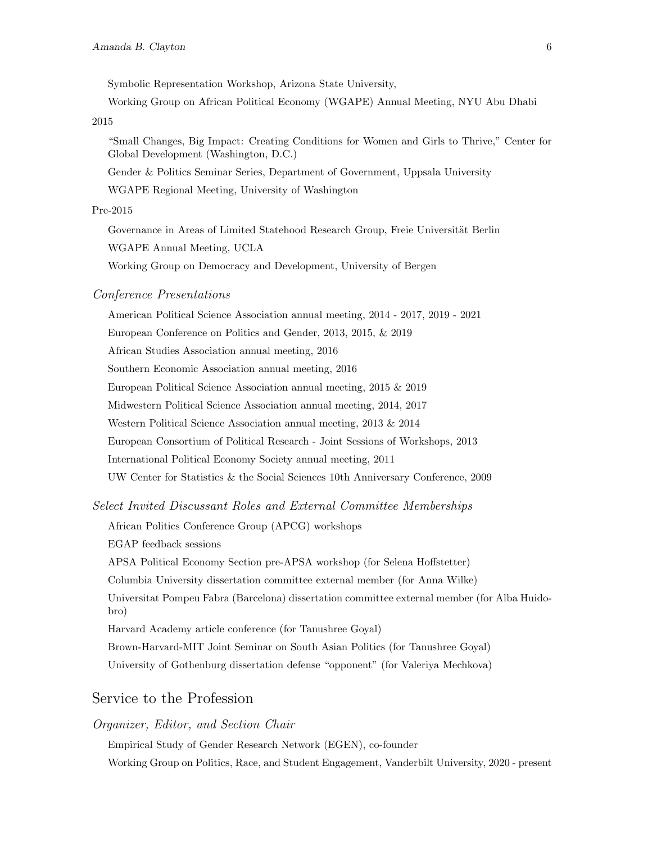Symbolic Representation Workshop, Arizona State University,

Working Group on African Political Economy (WGAPE) Annual Meeting, NYU Abu Dhabi

2015

"Small Changes, Big Impact: Creating Conditions for Women and Girls to Thrive," Center for Global Development (Washington, D.C.)

Gender & Politics Seminar Series, Department of Government, Uppsala University

WGAPE Regional Meeting, University of Washington

#### Pre-2015

Governance in Areas of Limited Statehood Research Group, Freie Universität Berlin WGAPE Annual Meeting, UCLA

Working Group on Democracy and Development, University of Bergen

#### Conference Presentations

American Political Science Association annual meeting, 2014 - 2017, 2019 - 2021 European Conference on Politics and Gender, 2013, 2015, & 2019 African Studies Association annual meeting, 2016 Southern Economic Association annual meeting, 2016 European Political Science Association annual meeting, 2015 & 2019 Midwestern Political Science Association annual meeting, 2014, 2017 Western Political Science Association annual meeting, 2013 & 2014 European Consortium of Political Research - Joint Sessions of Workshops, 2013 International Political Economy Society annual meeting, 2011 UW Center for Statistics & the Social Sciences 10th Anniversary Conference, 2009

## Select Invited Discussant Roles and External Committee Memberships

African Politics Conference Group (APCG) workshops

EGAP feedback sessions

APSA Political Economy Section pre-APSA workshop (for Selena Hoffstetter)

Columbia University dissertation committee external member (for Anna Wilke)

Universitat Pompeu Fabra (Barcelona) dissertation committee external member (for Alba Huidobro)

Harvard Academy article conference (for Tanushree Goyal)

Brown-Harvard-MIT Joint Seminar on South Asian Politics (for Tanushree Goyal)

University of Gothenburg dissertation defense "opponent" (for Valeriya Mechkova)

# Service to the Profession

# Organizer, Editor, and Section Chair

Empirical Study of Gender Research Network [\(EGEN\)](http://www.egenpolisci.org/), co-founder Working Group on Politics, Race, and Student Engagement, Vanderbilt University, 2020 - present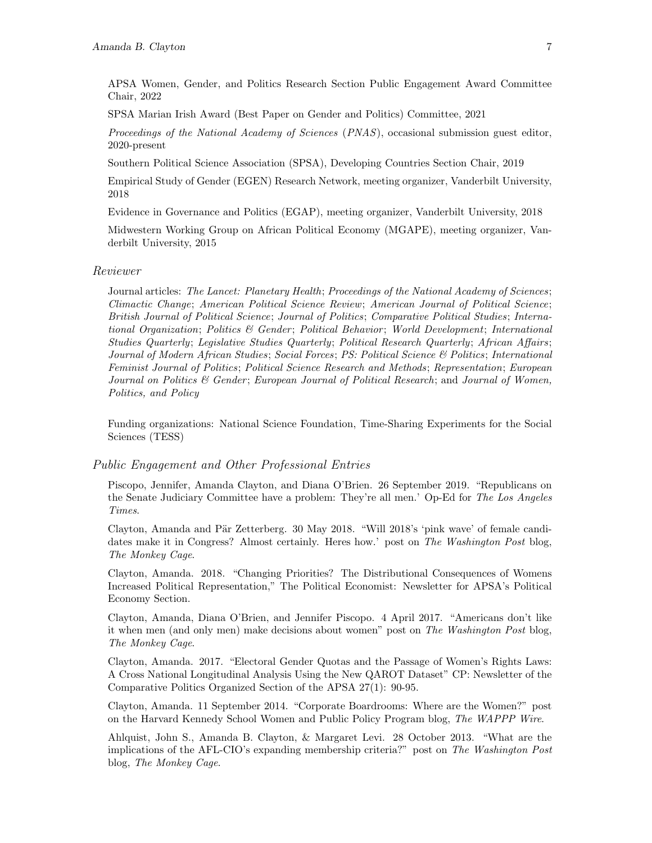APSA Women, Gender, and Politics Research Section Public Engagement Award Committee Chair, 2022

SPSA Marian Irish Award (Best Paper on Gender and Politics) Committee, 2021

Proceedings of the National Academy of Sciences (PNAS), occasional submission guest editor, 2020-present

Southern Political Science Association (SPSA), Developing Countries Section Chair, 2019

Empirical Study of Gender (EGEN) Research Network, meeting organizer, Vanderbilt University, 2018

Evidence in Governance and Politics (EGAP), meeting organizer, Vanderbilt University, 2018

Midwestern Working Group on African Political Economy (MGAPE), meeting organizer, Vanderbilt University, 2015

#### Reviewer

Journal articles: The Lancet: Planetary Health; Proceedings of the National Academy of Sciences; Climactic Change; American Political Science Review; American Journal of Political Science; British Journal of Political Science; Journal of Politics; Comparative Political Studies; International Organization; Politics & Gender; Political Behavior; World Development; International Studies Quarterly; Legislative Studies Quarterly; Political Research Quarterly; African Affairs; Journal of Modern African Studies; Social Forces; PS: Political Science & Politics; International Feminist Journal of Politics; Political Science Research and Methods; Representation; European Journal on Politics & Gender; European Journal of Political Research; and Journal of Women, Politics, and Policy

Funding organizations: National Science Foundation, Time-Sharing Experiments for the Social Sciences (TESS)

# Public Engagement and Other Professional Entries

Piscopo, Jennifer, Amanda Clayton, and Diana O'Brien. 26 September 2019. ["Republicans on](https://www.latimes.com/opinion/op-ed/la-oe-piscopo-kavanaugh-ford-20180926-story.html) [the Senate Judiciary Committee have a problem: They're all men.'](https://www.latimes.com/opinion/op-ed/la-oe-piscopo-kavanaugh-ford-20180926-story.html) Op-Ed for The Los Angeles Times.

Clayton, Amanda and Pär Zetterberg. 30 May 2018. ["Will 2018's 'pink wave' of female candi](https://www.washingtonpost.com/news/monkey-cage/wp/2018/05/30/will-2018s-pink-wave-of-female-candidates-make-it-in-congress-almost-certainly-heres-how/?noredirect=on&utm_term=.f4508e56338b)[dates make it in Congress? Almost certainly. Heres how.'](https://www.washingtonpost.com/news/monkey-cage/wp/2018/05/30/will-2018s-pink-wave-of-female-candidates-make-it-in-congress-almost-certainly-heres-how/?noredirect=on&utm_term=.f4508e56338b) post on The Washington Post blog, The Monkey Cage.

Clayton, Amanda. 2018. "Changing Priorities? The Distributional Consequences of Womens Increased Political Representation," The Political Economist: Newsletter for APSA's Political Economy Section.

Clayton, Amanda, Diana O'Brien, and Jennifer Piscopo. 4 April 2017. ["Americans don't like](https://www.washingtonpost.com/news/monkey-cage/wp/2017/04/04/americans-dont-like-it-when-men-and-only-men-make-decisions-about-women/?utm_term=.308658cd4800) [it when men \(and only men\) make decisions about women"](https://www.washingtonpost.com/news/monkey-cage/wp/2017/04/04/americans-dont-like-it-when-men-and-only-men-make-decisions-about-women/?utm_term=.308658cd4800) post on The Washington Post blog, The Monkey Cage.

Clayton, Amanda. 2017. "Electoral Gender Quotas and the Passage of Women's Rights Laws: A Cross National Longitudinal Analysis Using the New QAROT Dataset" CP: Newsletter of the Comparative Politics Organized Section of the APSA 27(1): 90-95.

Clayton, Amanda. 11 September 2014. ["Corporate Boardrooms: Where are the Women?"](http://wapppwire.blogspot.com/2014/09/corporate-boardrooms-where-are-women.html) post on the Harvard Kennedy School Women and Public Policy Program blog, The WAPPP Wire.

Ahlquist, John S., Amanda B. Clayton, & Margaret Levi. 28 October 2013. ["What are the](http://www.washingtonpost.com/blogs/monkey-cage/wp/2013/10/28/what-are-the-implications-of-the-afl-cios-expanding-membership-criteria/) [implications of the AFL-CIO's expanding membership criteria?"](http://www.washingtonpost.com/blogs/monkey-cage/wp/2013/10/28/what-are-the-implications-of-the-afl-cios-expanding-membership-criteria/) post on The Washington Post blog, The Monkey Cage.